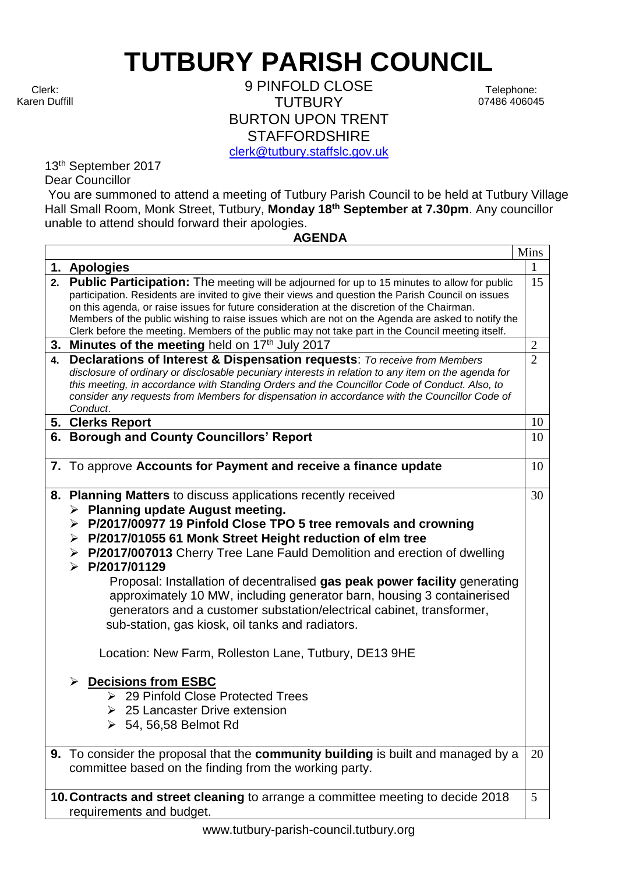## **TUTBURY PARISH COUNCIL**

Clerk: Karen Duffill

9 PINFOLD CLOSE **TUTBURY** BURTON UPON TRENT **STAFFORDSHIRE** [clerk@tutbury.staffslc.gov.uk](mailto:clerk@tutbury.staffslc.gov.uk)

Telephone: 07486 406045

13th September 2017 Dear Councillor

You are summoned to attend a meeting of Tutbury Parish Council to be held at Tutbury Village Hall Small Room, Monk Street, Tutbury, **Monday 18th September at 7.30pm**. Any councillor unable to attend should forward their apologies.

## **AGENDA**

|    |                                                                                                                                                                                                                                                                                                                                                                                                                                                                                                                                                                                                                                                                                                                                                                                                                                                             | Mins           |
|----|-------------------------------------------------------------------------------------------------------------------------------------------------------------------------------------------------------------------------------------------------------------------------------------------------------------------------------------------------------------------------------------------------------------------------------------------------------------------------------------------------------------------------------------------------------------------------------------------------------------------------------------------------------------------------------------------------------------------------------------------------------------------------------------------------------------------------------------------------------------|----------------|
|    | 1. Apologies                                                                                                                                                                                                                                                                                                                                                                                                                                                                                                                                                                                                                                                                                                                                                                                                                                                | $\mathbf{1}$   |
|    | 2. Public Participation: The meeting will be adjourned for up to 15 minutes to allow for public<br>participation. Residents are invited to give their views and question the Parish Council on issues<br>on this agenda, or raise issues for future consideration at the discretion of the Chairman.<br>Members of the public wishing to raise issues which are not on the Agenda are asked to notify the<br>Clerk before the meeting. Members of the public may not take part in the Council meeting itself.                                                                                                                                                                                                                                                                                                                                               | 15             |
|    | 3. Minutes of the meeting held on 17th July 2017                                                                                                                                                                                                                                                                                                                                                                                                                                                                                                                                                                                                                                                                                                                                                                                                            | $\overline{2}$ |
| 4. | <b>Declarations of Interest &amp; Dispensation requests:</b> To receive from Members<br>disclosure of ordinary or disclosable pecuniary interests in relation to any item on the agenda for<br>this meeting, in accordance with Standing Orders and the Councillor Code of Conduct. Also, to<br>consider any requests from Members for dispensation in accordance with the Councillor Code of<br>Conduct.                                                                                                                                                                                                                                                                                                                                                                                                                                                   | $\overline{2}$ |
|    | 5. Clerks Report                                                                                                                                                                                                                                                                                                                                                                                                                                                                                                                                                                                                                                                                                                                                                                                                                                            | 10             |
|    | 6. Borough and County Councillors' Report                                                                                                                                                                                                                                                                                                                                                                                                                                                                                                                                                                                                                                                                                                                                                                                                                   | 10             |
|    | 7. To approve Accounts for Payment and receive a finance update                                                                                                                                                                                                                                                                                                                                                                                                                                                                                                                                                                                                                                                                                                                                                                                             | 10             |
|    | 8. Planning Matters to discuss applications recently received<br><b>Planning update August meeting.</b><br>≻<br>P/2017/00977 19 Pinfold Close TPO 5 tree removals and crowning<br>➤<br>> P/2017/01055 61 Monk Street Height reduction of elm tree<br>P/2017/007013 Cherry Tree Lane Fauld Demolition and erection of dwelling<br>➤<br>$\triangleright$ P/2017/01129<br>Proposal: Installation of decentralised gas peak power facility generating<br>approximately 10 MW, including generator barn, housing 3 containerised<br>generators and a customer substation/electrical cabinet, transformer,<br>sub-station, gas kiosk, oil tanks and radiators.<br>Location: New Farm, Rolleston Lane, Tutbury, DE13 9HE<br><b>Decisions from ESBC</b><br>▶ 29 Pinfold Close Protected Trees<br>$\geq 25$ Lancaster Drive extension<br>$\geq 54$ , 56,58 Belmot Rd | 30             |
|    | 9. To consider the proposal that the community building is built and managed by a<br>committee based on the finding from the working party.                                                                                                                                                                                                                                                                                                                                                                                                                                                                                                                                                                                                                                                                                                                 | 20             |
|    | 10. Contracts and street cleaning to arrange a committee meeting to decide 2018<br>requirements and budget.                                                                                                                                                                                                                                                                                                                                                                                                                                                                                                                                                                                                                                                                                                                                                 | 5              |

www.tutbury-parish-council.tutbury.org